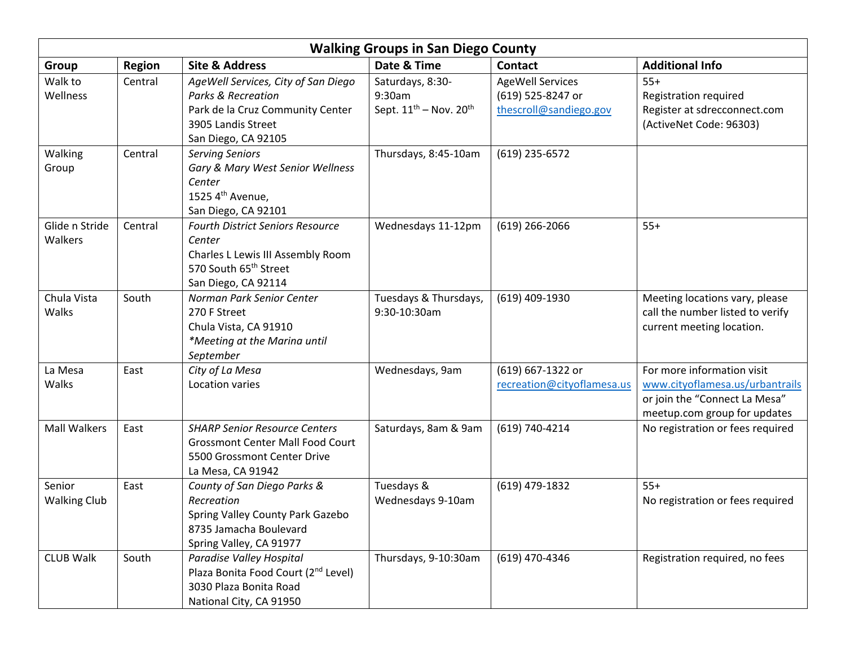| <b>Walking Groups in San Diego County</b> |               |                                                                                                                                                       |                                                                       |                                                                        |                                                                                                                                |  |  |
|-------------------------------------------|---------------|-------------------------------------------------------------------------------------------------------------------------------------------------------|-----------------------------------------------------------------------|------------------------------------------------------------------------|--------------------------------------------------------------------------------------------------------------------------------|--|--|
| <b>Group</b>                              | <b>Region</b> | <b>Site &amp; Address</b>                                                                                                                             | Date & Time                                                           | <b>Contact</b>                                                         | <b>Additional Info</b>                                                                                                         |  |  |
| Walk to<br>Wellness                       | Central       | AgeWell Services, City of San Diego<br><b>Parks &amp; Recreation</b><br>Park de la Cruz Community Center<br>3905 Landis Street<br>San Diego, CA 92105 | Saturdays, 8:30-<br>9:30am<br>Sept. $11^{th}$ – Nov. 20 <sup>th</sup> | <b>AgeWell Services</b><br>(619) 525-8247 or<br>thescroll@sandiego.gov | $55+$<br>Registration required<br>Register at sdrecconnect.com<br>(ActiveNet Code: 96303)                                      |  |  |
| Walking<br>Group                          | Central       | <b>Serving Seniors</b><br>Gary & Mary West Senior Wellness<br>Center<br>1525 4th Avenue,<br>San Diego, CA 92101                                       | Thursdays, 8:45-10am                                                  | (619) 235-6572                                                         |                                                                                                                                |  |  |
| Glide n Stride<br>Walkers                 | Central       | <b>Fourth District Seniors Resource</b><br>Center<br>Charles L Lewis III Assembly Room<br>570 South 65 <sup>th</sup> Street<br>San Diego, CA 92114    | Wednesdays 11-12pm                                                    | $(619)$ 266-2066                                                       | $55+$                                                                                                                          |  |  |
| Chula Vista<br>Walks                      | South         | Norman Park Senior Center<br>270 F Street<br>Chula Vista, CA 91910<br>*Meeting at the Marina until<br>September                                       | Tuesdays & Thursdays,<br>9:30-10:30am                                 | (619) 409-1930                                                         | Meeting locations vary, please<br>call the number listed to verify<br>current meeting location.                                |  |  |
| La Mesa<br>Walks                          | East          | City of La Mesa<br>Location varies                                                                                                                    | Wednesdays, 9am                                                       | (619) 667-1322 or<br>recreation@cityoflamesa.us                        | For more information visit<br>www.cityoflamesa.us/urbantrails<br>or join the "Connect La Mesa"<br>meetup.com group for updates |  |  |
| <b>Mall Walkers</b>                       | East          | <b>SHARP Senior Resource Centers</b><br><b>Grossmont Center Mall Food Court</b><br>5500 Grossmont Center Drive<br>La Mesa, CA 91942                   | Saturdays, 8am & 9am                                                  | (619) 740-4214                                                         | No registration or fees required                                                                                               |  |  |
| Senior<br><b>Walking Club</b>             | East          | County of San Diego Parks &<br>Recreation<br>Spring Valley County Park Gazebo<br>8735 Jamacha Boulevard<br>Spring Valley, CA 91977                    | Tuesdays &<br>Wednesdays 9-10am                                       | (619) 479-1832                                                         | $55+$<br>No registration or fees required                                                                                      |  |  |
| <b>CLUB Walk</b>                          | South         | Paradise Valley Hospital<br>Plaza Bonita Food Court (2 <sup>nd</sup> Level)<br>3030 Plaza Bonita Road<br>National City, CA 91950                      | Thursdays, 9-10:30am                                                  | (619) 470-4346                                                         | Registration required, no fees                                                                                                 |  |  |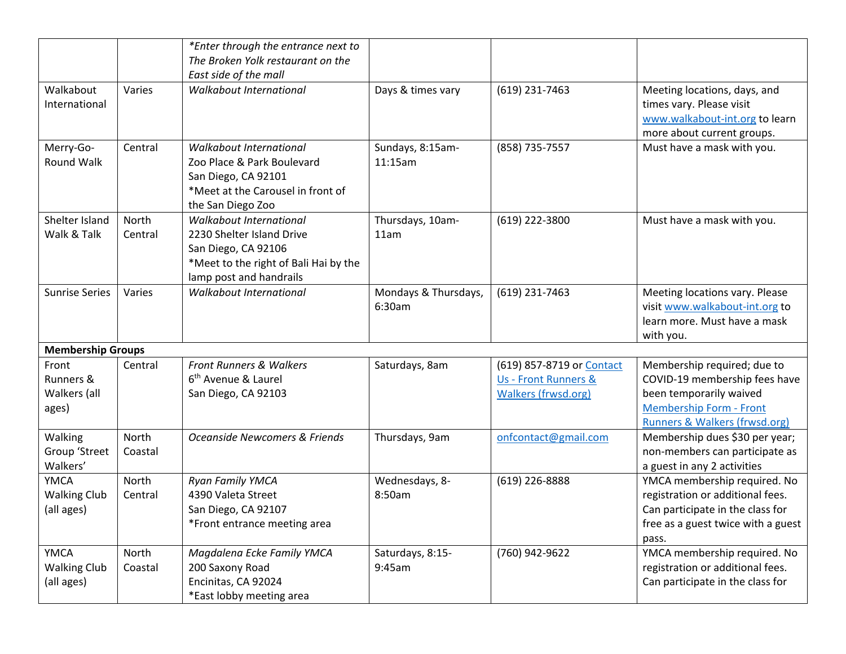|                                                  |                  | *Enter through the entrance next to                                                                                                             |                                |                                                                                 |                                                                                                                                                            |
|--------------------------------------------------|------------------|-------------------------------------------------------------------------------------------------------------------------------------------------|--------------------------------|---------------------------------------------------------------------------------|------------------------------------------------------------------------------------------------------------------------------------------------------------|
|                                                  |                  | The Broken Yolk restaurant on the                                                                                                               |                                |                                                                                 |                                                                                                                                                            |
|                                                  |                  | East side of the mall                                                                                                                           |                                |                                                                                 |                                                                                                                                                            |
| Walkabout<br>International                       | Varies           | Walkabout International                                                                                                                         | Days & times vary              | (619) 231-7463                                                                  | Meeting locations, days, and<br>times vary. Please visit<br>www.walkabout-int.org to learn<br>more about current groups.                                   |
| Merry-Go-<br>Round Walk                          | Central          | Walkabout International<br>Zoo Place & Park Boulevard<br>San Diego, CA 92101<br>*Meet at the Carousel in front of<br>the San Diego Zoo          | Sundays, 8:15am-<br>11:15am    | (858) 735-7557                                                                  | Must have a mask with you.                                                                                                                                 |
| Shelter Island<br>Walk & Talk                    | North<br>Central | Walkabout International<br>2230 Shelter Island Drive<br>San Diego, CA 92106<br>*Meet to the right of Bali Hai by the<br>lamp post and handrails | Thursdays, 10am-<br>11am       | (619) 222-3800                                                                  | Must have a mask with you.                                                                                                                                 |
| <b>Sunrise Series</b>                            | Varies           | Walkabout International                                                                                                                         | Mondays & Thursdays,<br>6:30am | (619) 231-7463                                                                  | Meeting locations vary. Please<br>visit www.walkabout-int.org to<br>learn more. Must have a mask<br>with you.                                              |
| <b>Membership Groups</b>                         |                  |                                                                                                                                                 |                                |                                                                                 |                                                                                                                                                            |
| Front<br>Runners &<br>Walkers (all<br>ages)      | Central          | <b>Front Runners &amp; Walkers</b><br>6 <sup>th</sup> Avenue & Laurel<br>San Diego, CA 92103                                                    | Saturdays, 8am                 | (619) 857-8719 or Contact<br>Us - Front Runners &<br><b>Walkers (frwsd.org)</b> | Membership required; due to<br>COVID-19 membership fees have<br>been temporarily waived<br><b>Membership Form - Front</b><br>Runners & Walkers (frwsd.org) |
| Walking<br>Group 'Street<br>Walkers'             | North<br>Coastal | Oceanside Newcomers & Friends                                                                                                                   | Thursdays, 9am                 | onfcontact@gmail.com                                                            | Membership dues \$30 per year;<br>non-members can participate as<br>a guest in any 2 activities                                                            |
| <b>YMCA</b><br><b>Walking Club</b><br>(all ages) | North<br>Central | Ryan Family YMCA<br>4390 Valeta Street<br>San Diego, CA 92107<br>*Front entrance meeting area                                                   | Wednesdays, 8-<br>8:50am       | (619) 226-8888                                                                  | YMCA membership required. No<br>registration or additional fees.<br>Can participate in the class for<br>free as a guest twice with a guest<br>pass.        |
| <b>YMCA</b><br><b>Walking Club</b><br>(all ages) | North<br>Coastal | Magdalena Ecke Family YMCA<br>200 Saxony Road<br>Encinitas, CA 92024<br>*East lobby meeting area                                                | Saturdays, 8:15-<br>9:45am     | (760) 942-9622                                                                  | YMCA membership required. No<br>registration or additional fees.<br>Can participate in the class for                                                       |